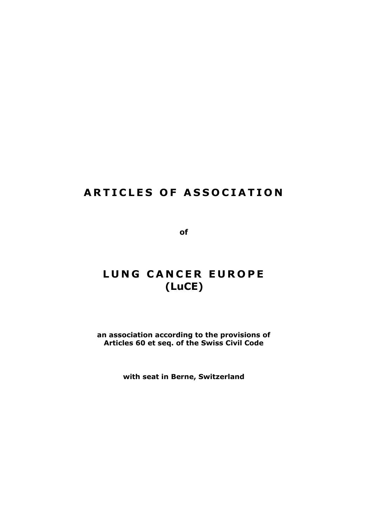# **ARTICLES OF ASSOCIATION**

**of**

# LUNG CANCER EUROPE **(LuCE)**

**an association according to the provisions of Articles 60 et seq. of the Swiss Civil Code**

**with seat in Berne, Switzerland**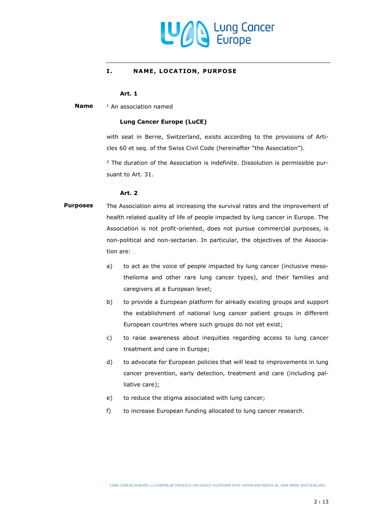

#### **I. NAME, LOCATION, PURPOSE**

# **Art. 1**

<sup>1</sup> An association named **Name**

#### **Lung Cancer Europe (LuCE)**

with seat in Berne, Switzerland, exists according to the provisions of Articles 60 et seq. of the Swiss Civil Code (hereinafter "the Association").

<sup>2</sup> The duration of the Association is indefinite. Dissolution is permissible pursuant to [Art. 31.](#page-11-0)

#### **Art. 2**

# The Association aims at increasing the survival rates and the improvement of health related quality of life of people impacted by lung cancer in Europe. The Association is not profit-oriented, does not pursue commercial purposes, is non-political and non-sectarian. In particular, the objectives of the Association are: **Purposes**

- a) to act as the voice of people impacted by lung cancer (inclusive mesothelioma and other rare lung cancer types), and their families and caregivers at a European level;
- b) to provide a European platform for already existing groups and support the establishment of national lung cancer patient groups in different European countries where such groups do not yet exist;
- c) to raise awareness about inequities regarding access to lung cancer treatment and care in Europe;
- d) to advocate for European policies that will lead to improvements in lung cancer prevention, early detection, treatment and care (including palliative care);
- e) to reduce the stigma associated with lung cancer;
- f) to increase European funding allocated to lung cancer research.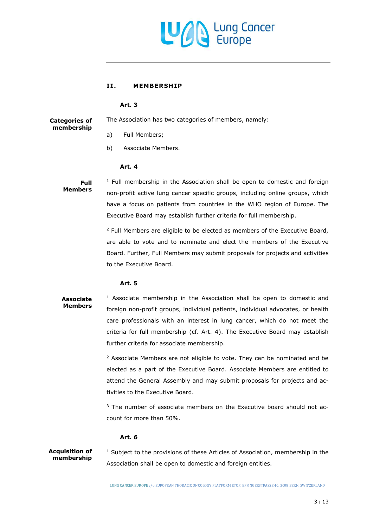

#### **II. MEMBER SH IP**

#### **Art. 3**

The Association has two categories of members, namely: **Categories of membership**

- a) Full Members;
- <span id="page-2-0"></span>b) Associate Members.

#### **Art. 4**

# **Full Members**

 $1$  Full membership in the Association shall be open to domestic and foreign non-profit active lung cancer specific groups, including online groups, which have a focus on patients from countries in the WHO region of Europe. The Executive Board may establish further criteria for full membership.

<sup>2</sup> Full Members are eligible to be elected as members of the Executive Board, are able to vote and to nominate and elect the members of the Executive Board. Further, Full Members may submit proposals for projects and activities to the Executive Board.

# **Art. 5**

# $1$  Associate membership in the Association shall be open to domestic and foreign non-profit groups, individual patients, individual advocates, or health care professionals with an interest in lung cancer, which do not meet the criteria for full membership (cf. [Art. 4\)](#page-2-0). The Executive Board may establish further criteria for associate membership. **Associate Members**

 $2$  Associate Members are not eligible to vote. They can be nominated and be elected as a part of the Executive Board. Associate Members are entitled to attend the General Assembly and may submit proposals for projects and activities to the Executive Board.

<sup>3</sup> The number of associate members on the Executive board should not account for more than 50%.

# **Art. 6**

<sup>1</sup> Subject to the provisions of these Articles of Association, membership in the Association shall be open to domestic and foreign entities. **Acquisition of membership**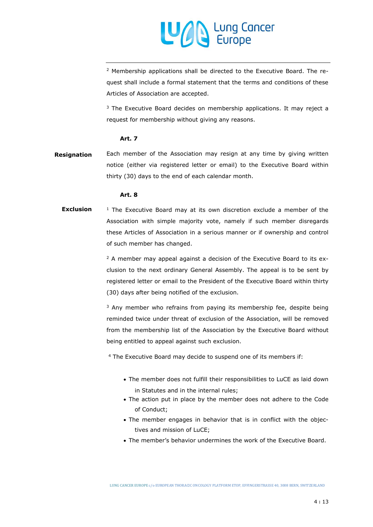

<sup>2</sup> Membership applications shall be directed to the Executive Board. The request shall include a formal statement that the terms and conditions of these Articles of Association are accepted.

 $3$  The Executive Board decides on membership applications. It may reject a request for membership without giving any reasons.

#### **Art. 7**

Each member of the Association may resign at any time by giving written notice (either via registered letter or email) to the Executive Board within thirty (30) days to the end of each calendar month. **Resignation**

#### <span id="page-3-0"></span>**Art. 8**

 $1$  The Executive Board may at its own discretion exclude a member of the Association with simple majority vote, namely if such member disregards these Articles of Association in a serious manner or if ownership and control of such member has changed. **Exclusion**

> <sup>2</sup> A member may appeal against a decision of the Executive Board to its exclusion to the next ordinary General Assembly. The appeal is to be sent by registered letter or email to the President of the Executive Board within thirty (30) days after being notified of the exclusion.

> <sup>3</sup> Any member who refrains from paying its membership fee, despite being reminded twice under threat of exclusion of the Association, will be removed from the membership list of the Association by the Executive Board without being entitled to appeal against such exclusion.

<sup>4</sup> The Executive Board may decide to suspend one of its members if:

- The member does not fulfill their responsibilities to LuCE as laid down in Statutes and in the internal rules;
- The action put in place by the member does not adhere to the Code of Conduct;
- The member engages in behavior that is in conflict with the objectives and mission of LuCE;
- The member's behavior undermines the work of the Executive Board.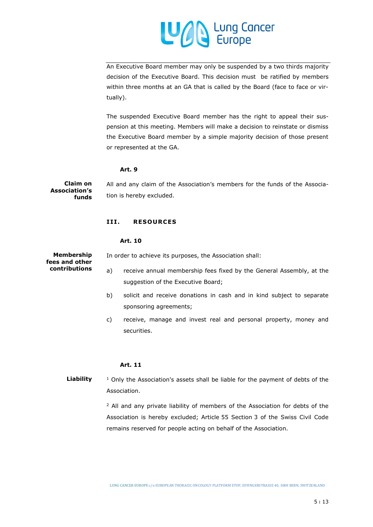

An Executive Board member may only be suspended by a two thirds majority decision of the Executive Board. This decision must be ratified by members within three months at an GA that is called by the Board (face to face or virtually).

The suspended Executive Board member has the right to appeal their suspension at this meeting. Members will make a decision to reinstate or dismiss the Executive Board member by a simple majority decision of those present or represented at the GA.

### **Art. 9**

All and any claim of the Association's members for the funds of the Association is hereby excluded. **Claim on Association's funds**

#### **III. RESOURCES**

#### **Art. 10**

**Membership fees and other contributions**

- In order to achieve its purposes, the Association shall:
	- a) receive annual membership fees fixed by the General Assembly, at the suggestion of the Executive Board;
	- b) solicit and receive donations in cash and in kind subject to separate sponsoring agreements;
	- c) receive, manage and invest real and personal property, money and securities.

#### **Art. 11**

 $1$  Only the Association's assets shall be liable for the payment of debts of the Association. **Liability**

> <sup>2</sup> All and any private liability of members of the Association for debts of the Association is hereby excluded; Article 55 Section 3 of the Swiss Civil Code remains reserved for people acting on behalf of the Association.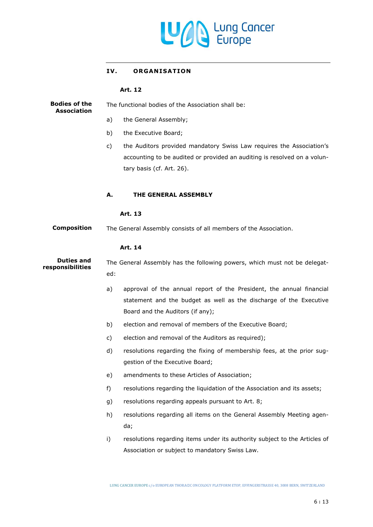

# IV. ORGANISATION

#### **Art. 12**

| <b>Bodies of the</b><br><b>Association</b> | The functional bodies of the Association shall be:                               |                                                                                                                                                  |  |
|--------------------------------------------|----------------------------------------------------------------------------------|--------------------------------------------------------------------------------------------------------------------------------------------------|--|
|                                            | a)                                                                               | the General Assembly;                                                                                                                            |  |
|                                            | b)                                                                               | the Executive Board;                                                                                                                             |  |
|                                            | c)                                                                               | the Auditors provided mandatory Swiss Law requires the Association's<br>accounting to be audited or provided an auditing is resolved on a volun- |  |
|                                            |                                                                                  | tary basis (cf. Art. 26).                                                                                                                        |  |
|                                            | А.                                                                               | <b>THE GENERAL ASSEMBLY</b>                                                                                                                      |  |
|                                            |                                                                                  | Art. 13                                                                                                                                          |  |
| <b>Composition</b>                         | The General Assembly consists of all members of the Association.                 |                                                                                                                                                  |  |
|                                            |                                                                                  | Art. 14                                                                                                                                          |  |
| <b>Duties and</b><br>responsibilities      | The General Assembly has the following powers, which must not be delegat-<br>ed: |                                                                                                                                                  |  |
|                                            | a)                                                                               | approval of the annual report of the President, the annual financial                                                                             |  |
|                                            |                                                                                  | statement and the budget as well as the discharge of the Executive                                                                               |  |
|                                            |                                                                                  | Board and the Auditors (if any);                                                                                                                 |  |
|                                            | b)                                                                               | election and removal of members of the Executive Board;                                                                                          |  |
|                                            | c)                                                                               | election and removal of the Auditors as required);                                                                                               |  |
|                                            | d)                                                                               | resolutions regarding the fixing of membership fees, at the prior sug-<br>gestion of the Executive Board;                                        |  |
|                                            | e)                                                                               | amendments to these Articles of Association;                                                                                                     |  |
|                                            | f)                                                                               | resolutions regarding the liquidation of the Association and its assets;                                                                         |  |
|                                            | g)                                                                               | resolutions regarding appeals pursuant to Art. 8;                                                                                                |  |
|                                            | h)                                                                               | resolutions regarding all items on the General Assembly Meeting agen-                                                                            |  |
|                                            |                                                                                  | da;                                                                                                                                              |  |
|                                            | i)                                                                               | resolutions regarding items under its authority subject to the Articles of                                                                       |  |
|                                            |                                                                                  | Association or subject to mandatory Swiss Law.                                                                                                   |  |

LUNG CANCER EUROPE c/o EUROPEAN THORACIC ONCOLOGY PLATFORM ETOP, EFFINGERSTRASSE 40, 3008 BERN, SWITZERLAND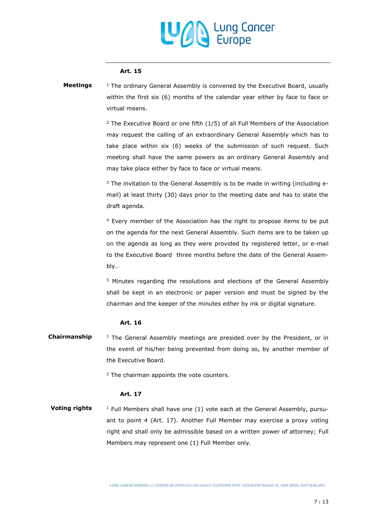

#### **Art. 15**

 $1$  The ordinary General Assembly is convened by the Executive Board, usually within the first six (6) months of the calendar year either by face to face or virtual means. **Meetings**

> $2$  The Executive Board or one fifth (1/5) of all Full Members of the Association may request the calling of an extraordinary General Assembly which has to take place within six (6) weeks of the submission of such request. Such meeting shall have the same powers as an ordinary General Assembly and may take place either by face to face or virtual means.

> $3$  The invitation to the General Assembly is to be made in writing (including email) at least thirty (30) days prior to the meeting date and has to state the draft agenda.

> <sup>4</sup> Every member of the Association has the right to propose items to be put on the agenda for the next General Assembly. Such items are to be taken up on the agenda as long as they were provided by registered letter, or e-mail to the Executive Board three months before the date of the General Assembly..

> <sup>5</sup> Minutes regarding the resolutions and elections of the General Assembly shall be kept in an electronic or paper version and must be signed by the chairman and the keeper of the minutes either by ink or digital signature.

#### **Art. 16**

 $1$  The General Assembly meetings are presided over by the President, or in the event of his/her being prevented from doing so, by another member of the Executive Board. **Chairmanship**

<sup>2</sup> The chairman appoints the vote counters.

#### **Art. 17**

 $1$  Full Members shall have one (1) vote each at the General Assembly, pursuant to point 4 (Art. 17). Another Full Member may exercise a proxy voting right and shall only be admissible based on a written power of attorney; Full Members may represent one (1) Full Member only. **Voting rights**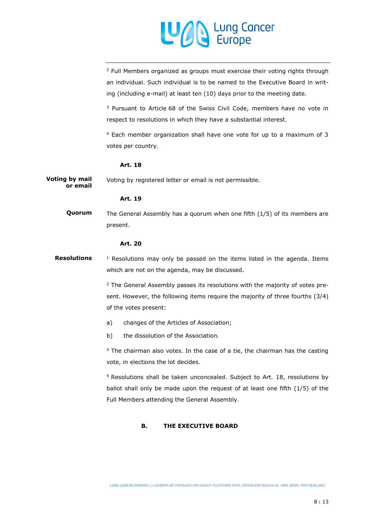

<sup>2</sup> Full Members organized as groups must exercise their voting rights through an individual. Such individual is to be named to the Executive Board in writing (including e-mail) at least ten (10) days prior to the meeting date.

<sup>3</sup> Pursuant to Article 68 of the Swiss Civil Code, members have no vote in respect to resolutions in which they have a substantial interest.

<sup>4</sup> Each member organization shall have one vote for up to a maximum of 3 votes per country.

#### <span id="page-7-0"></span>**Art. 18**

Voting by registered letter or email is not permissible. **Voting by mail or email**

#### **Art. 19**

The General Assembly has a quorum when one fifth (1/5) of its members are present. **Quorum**

#### **Art. 20**

 $1$  Resolutions may only be passed on the items listed in the agenda. Items which are not on the agenda, may be discussed. **Resolutions**

> <sup>2</sup> The General Assembly passes its resolutions with the majority of votes present. However, the following items require the majority of three fourths (3/4) of the votes present:

- a) changes of the Articles of Association;
- b) the dissolution of the Association.

 $3$  The chairman also votes. In the case of a tie, the chairman has the casting vote, in elections the lot decides.

<sup>4</sup> Resolutions shall be taken unconcealed. Subject to [Art. 18,](#page-7-0) resolutions by ballot shall only be made upon the request of at least one fifth (1/5) of the Full Members attending the General Assembly.

#### **B. THE EXECUTIVE BOARD**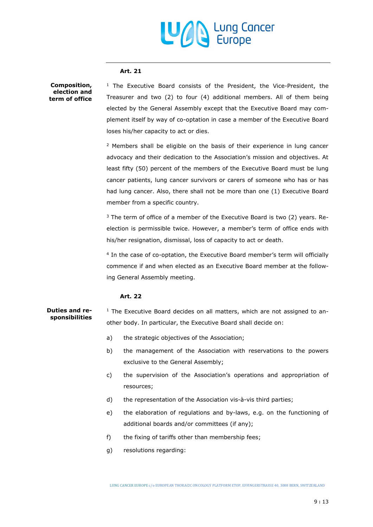# Lung Cancer

#### **Art. 21**

**Composition, election and term of office** <sup>1</sup> The Executive Board consists of the President, the Vice-President, the Treasurer and two (2) to four (4) additional members. All of them being elected by the General Assembly except that the Executive Board may complement itself by way of co-optation in case a member of the Executive Board loses his/her capacity to act or dies.

<sup>2</sup> Members shall be eligible on the basis of their experience in lung cancer advocacy and their dedication to the Association's mission and objectives. At least fifty (50) percent of the members of the Executive Board must be lung cancer patients, lung cancer survivors or carers of someone who has or has had lung cancer. Also, there shall not be more than one (1) Executive Board member from a specific country.

 $3$  The term of office of a member of the Executive Board is two (2) years. Reelection is permissible twice. However, a member's term of office ends with his/her resignation, dismissal, loss of capacity to act or death.

4 In the case of co-optation, the Executive Board member's term will officially commence if and when elected as an Executive Board member at the following General Assembly meeting.

# **Art. 22**

 $1$  The Executive Board decides on all matters, which are not assigned to another body. In particular, the Executive Board shall decide on: **Duties and responsibilities**

- a) the strategic objectives of the Association;
- b) the management of the Association with reservations to the powers exclusive to the General Assembly;
- c) the supervision of the Association's operations and appropriation of resources;
- d) the representation of the Association vis-à-vis third parties;
- e) the elaboration of regulations and by-laws, e.g. on the functioning of additional boards and/or committees (if any);
- f) the fixing of tariffs other than membership fees;
- g) resolutions regarding: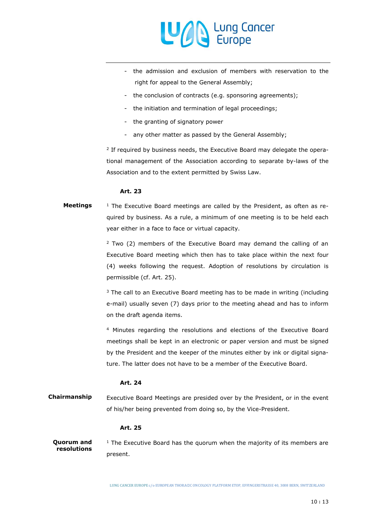

- the admission and exclusion of members with reservation to the right for appeal to the General Assembly;
- the conclusion of contracts (e.g. sponsoring agreements);
- the initiation and termination of legal proceedings;
- the granting of signatory power
- any other matter as passed by the General Assembly;

<sup>2</sup> If required by business needs, the Executive Board may delegate the operational management of the Association according to separate by-laws of the Association and to the extent permitted by Swiss Law.

#### **Art. 23**

## $1$  The Executive Board meetings are called by the President, as often as required by business. As a rule, a minimum of one meeting is to be held each year either in a face to face or virtual capacity. **Meetings**

 $2$  Two (2) members of the Executive Board may demand the calling of an Executive Board meeting which then has to take place within the next four (4) weeks following the request. Adoption of resolutions by circulation is permissible (cf. [Art. 25\)](#page-9-0).

 $3$  The call to an Executive Board meeting has to be made in writing (including e-mail) usually seven (7) days prior to the meeting ahead and has to inform on the draft agenda items.

<sup>4</sup> Minutes regarding the resolutions and elections of the Executive Board meetings shall be kept in an electronic or paper version and must be signed by the President and the keeper of the minutes either by ink or digital signature. The latter does not have to be a member of the Executive Board.

#### **Art. 24**

Executive Board Meetings are presided over by the President, or in the event of his/her being prevented from doing so, by the Vice-President. **Chairmanship**

### <span id="page-9-0"></span>**Art. 25**

 $1$  The Executive Board has the quorum when the majority of its members are present. **Quorum and resolutions**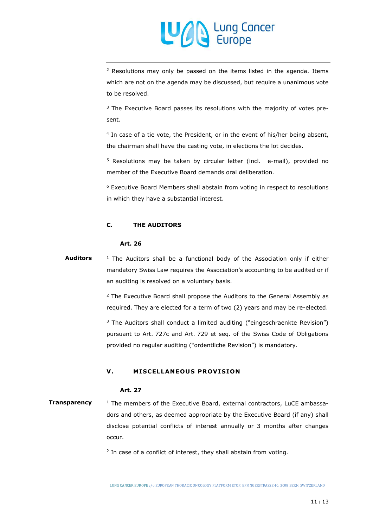

<sup>2</sup> Resolutions may only be passed on the items listed in the agenda. Items which are not on the agenda may be discussed, but require a unanimous vote to be resolved.

<sup>3</sup> The Executive Board passes its resolutions with the majority of votes present.

4 In case of a tie vote, the President, or in the event of his/her being absent, the chairman shall have the casting vote, in elections the lot decides.

<sup>5</sup> Resolutions may be taken by circular letter (incl. e-mail), provided no member of the Executive Board demands oral deliberation.

<sup>6</sup> Executive Board Members shall abstain from voting in respect to resolutions in which they have a substantial interest.

#### <span id="page-10-0"></span>**C. THE AUDITORS**

## **Art. 26**

 $1$  The Auditors shall be a functional body of the Association only if either mandatory Swiss Law requires the Association's accounting to be audited or if an auditing is resolved on a voluntary basis. **Auditors**

> $2$  The Executive Board shall propose the Auditors to the General Assembly as required. They are elected for a term of two (2) years and may be re-elected.

> <sup>3</sup> The Auditors shall conduct a limited auditing ("eingeschraenkte Revision") pursuant to Art. 727c and Art. 729 et seq. of the Swiss Code of Obligations provided no regular auditing ("ordentliche Revision") is mandatory.

# **V. MISCELLANEOUS PROVISION**

#### **Art. 27**

<sup>1</sup> The members of the Executive Board, external contractors, LuCE ambassadors and others, as deemed appropriate by the Executive Board (if any) shall disclose potential conflicts of interest annually or 3 months after changes occur. **Transparency**

 $2$  In case of a conflict of interest, they shall abstain from voting.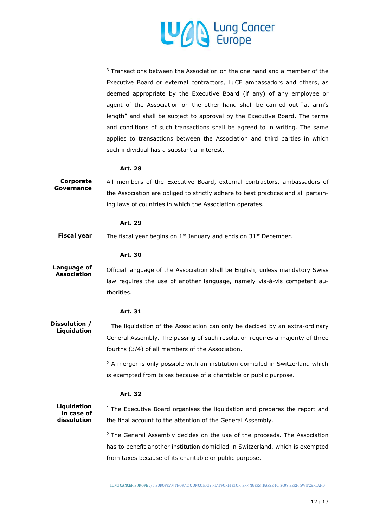

<sup>3</sup> Transactions between the Association on the one hand and a member of the Executive Board or external contractors, LuCE ambassadors and others, as deemed appropriate by the Executive Board (if any) of any employee or agent of the Association on the other hand shall be carried out "at arm's length" and shall be subject to approval by the Executive Board. The terms and conditions of such transactions shall be agreed to in writing. The same applies to transactions between the Association and third parties in which such individual has a substantial interest.

#### **Art. 28**

All members of the Executive Board, external contractors, ambassadors of the Association are obliged to strictly adhere to best practices and all pertaining laws of countries in which the Association operates. **Corporate Governance**

#### **Art. 29**

The fiscal year begins on 1<sup>st</sup> January and ends on 31<sup>st</sup> December. **Fiscal year**

#### **Art. 30**

Official language of the Association shall be English, unless mandatory Swiss law requires the use of another language, namely vis-à-vis competent authorities. **Language of Association**

#### <span id="page-11-0"></span>**Art. 31**

 $1$  The liquidation of the Association can only be decided by an extra-ordinary General Assembly. The passing of such resolution requires a majority of three fourths (3/4) of all members of the Association. **Dissolution / Liquidation**

> <sup>2</sup> A merger is only possible with an institution domiciled in Switzerland which is exempted from taxes because of a charitable or public purpose.

#### **Art. 32**

 $1$  The Executive Board organises the liquidation and prepares the report and the final account to the attention of the General Assembly. **Liquidation in case of dissolution**

> $2$  The General Assembly decides on the use of the proceeds. The Association has to benefit another institution domiciled in Switzerland, which is exempted from taxes because of its charitable or public purpose.